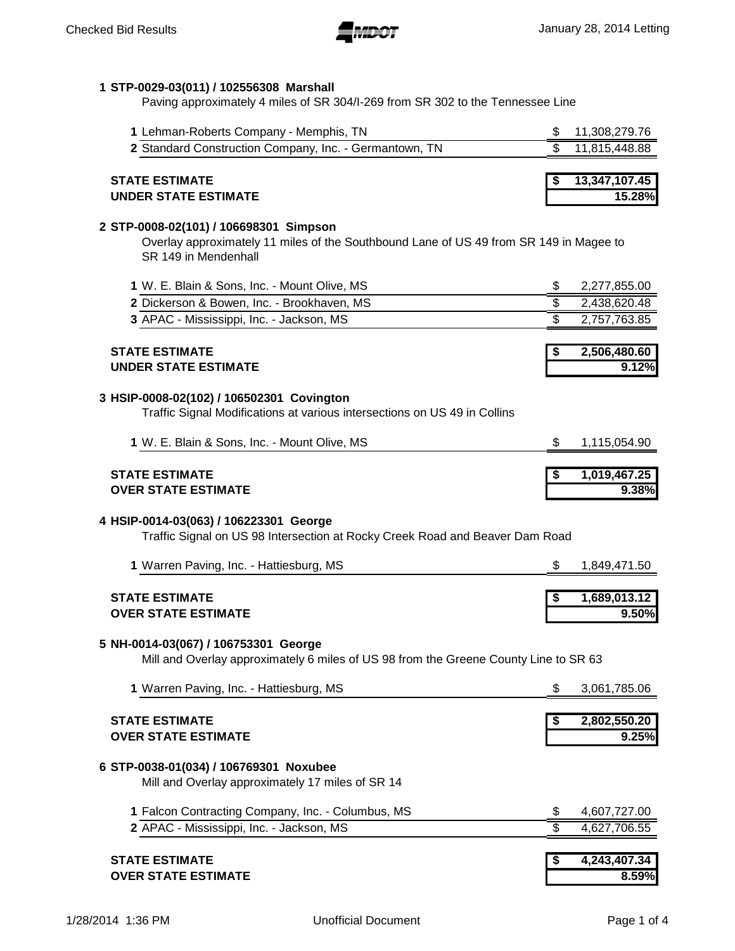### **1 STP-0029-03(011) / 102556308 Marshall**

Paving approximately 4 miles of SR 304/I-269 from SR 302 to the Tennessee Line

| <b>STATE ESTIMATE</b>                                  | $\frac{1}{2}$ 13,347,107.45 |
|--------------------------------------------------------|-----------------------------|
| 2 Standard Construction Company, Inc. - Germantown, TN | 11,815,448.88               |
| 1 Lehman-Roberts Company - Memphis, TN                 | 11.308.279.76               |

# **UNDER STATE ESTIMATE 15.28%**

#### **2 STP-0008-02(101) / 106698301 Simpson**

Overlay approximately 11 miles of the Southbound Lane of US 49 from SR 149 in Magee to SR 149 in Mendenhall

| <b>STATE ESTIMATE</b>                        | $2,506,\overline{480.60}$ |
|----------------------------------------------|---------------------------|
| 3 APAC - Mississippi, Inc. - Jackson, MS     | 2,757,763.85              |
| 2 Dickerson & Bowen, Inc. - Brookhaven, MS   | 2,438,620.48              |
| 1 W. E. Blain & Sons, Inc. - Mount Olive, MS | 2,277,855.00              |

# **UNDER STATE ESTIMATE 9.12%**

#### **3 HSIP-0008-02(102) / 106502301 Covington**

Traffic Signal Modifications at various intersections on US 49 in Collins

| 1 W. E. Blain & Sons, Inc. - Mount Olive, MS | 1,115,054.90 |
|----------------------------------------------|--------------|
|                                              |              |
| <b>STATE ESTIMATE</b>                        | 1,019,467.25 |

**OVER STATE ESTIMATE 9.38%**

# **4 HSIP-0014-03(063) / 106223301 George**

Traffic Signal on US 98 Intersection at Rocky Creek Road and Beaver Dam Road

| 1 Warren Paving, Inc. - Hattiesburg, MS | 1,849,471.50 |
|-----------------------------------------|--------------|
| <b>STATE ESTIMATE</b>                   | 1,689,013.12 |
| <b>OVER STATE ESTIMATE</b>              | 9.50%        |

#### **5 NH-0014-03(067) / 106753301 George**

Mill and Overlay approximately 6 miles of US 98 from the Greene County Line to SR 63

|    | 8.59%        |
|----|--------------|
|    | 4,243,407.34 |
|    | 4,627,706.55 |
| \$ | 4,607,727.00 |
|    |              |
|    | 9.25%        |
| S  | 2,802,550.20 |
| \$ | 3,061,785.06 |
|    |              |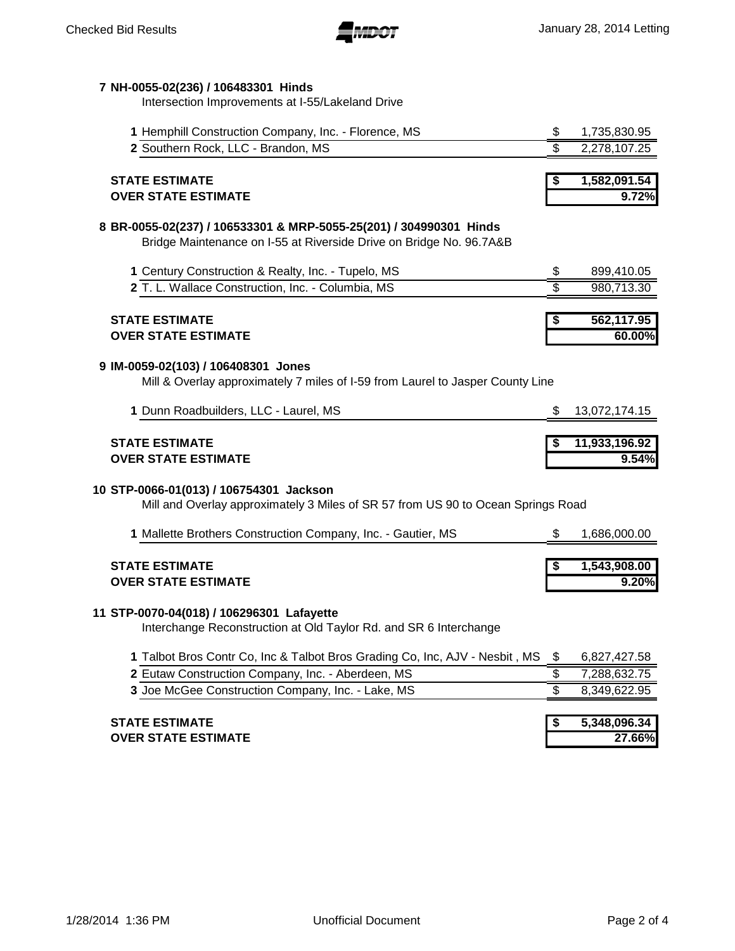

## **7 NH-0055-02(236) / 106483301 Hinds**

Intersection Improvements at I-55/Lakeland Drive

| 1 Hemphill Construction Company, Inc. - Florence, MS                                                                                      | \$  | 1,735,830.95           |
|-------------------------------------------------------------------------------------------------------------------------------------------|-----|------------------------|
| 2 Southern Rock, LLC - Brandon, MS                                                                                                        | \$  | 2,278,107.25           |
|                                                                                                                                           |     |                        |
| <b>STATE ESTIMATE</b>                                                                                                                     |     | 1,582,091.54           |
| <b>OVER STATE ESTIMATE</b>                                                                                                                |     | 9.72%                  |
| 8 BR-0055-02(237) / 106533301 & MRP-5055-25(201) / 304990301 Hinds<br>Bridge Maintenance on I-55 at Riverside Drive on Bridge No. 96.7A&B |     |                        |
| 1 Century Construction & Realty, Inc. - Tupelo, MS                                                                                        | \$  | 899,410.05             |
| 2 T. L. Wallace Construction, Inc. - Columbia, MS                                                                                         | \$  | 980,713.30             |
|                                                                                                                                           |     |                        |
| <b>STATE ESTIMATE</b><br><b>OVER STATE ESTIMATE</b>                                                                                       |     | 562,117.95<br>60.00%   |
|                                                                                                                                           |     |                        |
| 9 IM-0059-02(103) / 106408301 Jones<br>Mill & Overlay approximately 7 miles of I-59 from Laurel to Jasper County Line                     |     |                        |
| 1 Dunn Roadbuilders, LLC - Laurel, MS                                                                                                     | \$  | 13,072,174.15          |
| <b>STATE ESTIMATE</b>                                                                                                                     |     | 11,933,196.92          |
| <b>OVER STATE ESTIMATE</b>                                                                                                                |     | 9.54%                  |
| 10 STP-0066-01(013) / 106754301 Jackson<br>Mill and Overlay approximately 3 Miles of SR 57 from US 90 to Ocean Springs Road               |     |                        |
| 1 Mallette Brothers Construction Company, Inc. - Gautier, MS                                                                              | \$. | 1,686,000.00           |
| <b>STATE ESTIMATE</b><br><b>OVER STATE ESTIMATE</b>                                                                                       |     | 1,543,908.00<br>9.20%  |
| 11 STP-0070-04(018) / 106296301 Lafayette<br>Interchange Reconstruction at Old Taylor Rd. and SR 6 Interchange                            |     |                        |
| 1 Talbot Bros Contr Co, Inc & Talbot Bros Grading Co, Inc, AJV - Nesbit, MS                                                               | \$  | 6,827,427.58           |
| 2 Eutaw Construction Company, Inc. - Aberdeen, MS                                                                                         | \$  | 7,288,632.75           |
| 3 Joe McGee Construction Company, Inc. - Lake, MS                                                                                         | \$  | 8,349,622.95           |
|                                                                                                                                           |     |                        |
| <b>STATE ESTIMATE</b><br><b>OVER STATE ESTIMATE</b>                                                                                       |     | 5,348,096.34<br>27.66% |
|                                                                                                                                           |     |                        |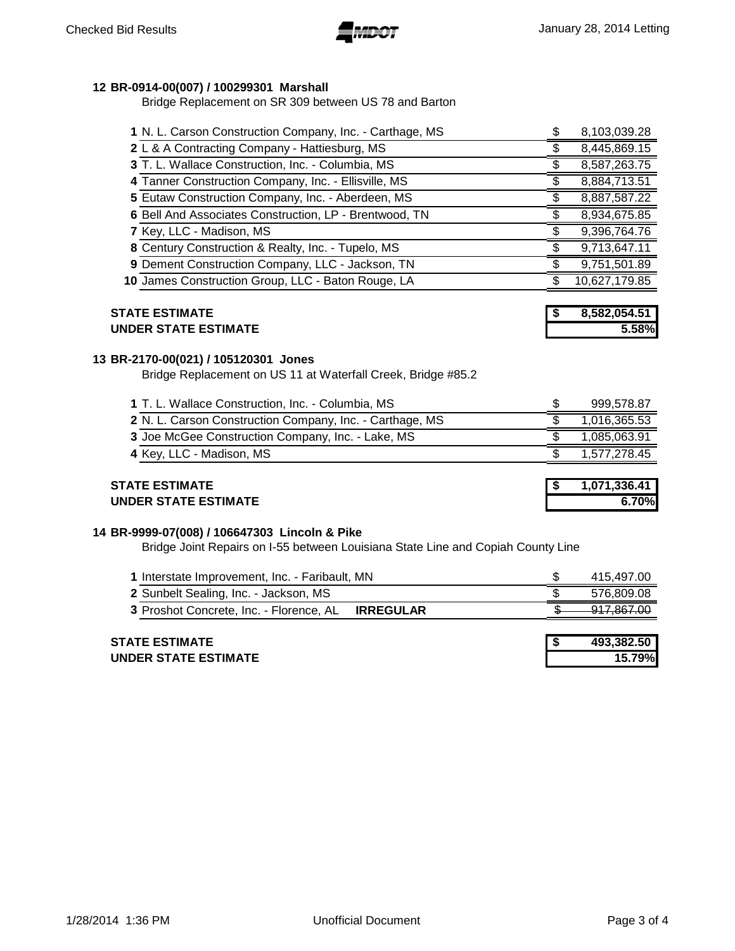## **BR-0914-00(007) / 100299301 Marshall**

Bridge Replacement on SR 309 between US 78 and Barton

| 1 N. L. Carson Construction Company, Inc. - Carthage, MS | 8,103,039.28  |
|----------------------------------------------------------|---------------|
| 2 L & A Contracting Company - Hattiesburg, MS            | 8,445,869.15  |
| 3 T. L. Wallace Construction, Inc. - Columbia, MS        | 8,587,263.75  |
| 4 Tanner Construction Company, Inc. - Ellisville, MS     | 8,884,713.51  |
| 5 Eutaw Construction Company, Inc. - Aberdeen, MS        | 8,887,587.22  |
| 6 Bell And Associates Construction, LP - Brentwood, TN   | 8,934,675.85  |
| 7 Key, LLC - Madison, MS                                 | 9,396,764.76  |
| 8 Century Construction & Realty, Inc. - Tupelo, MS       | 9,713,647.11  |
| 9 Dement Construction Company, LLC - Jackson, TN         | 9,751,501.89  |
| 10 James Construction Group, LLC - Baton Rouge, LA       | 10,627,179.85 |
|                                                          |               |

| <b>STATE ESTIMATE</b>       | 8,582,054.51 |
|-----------------------------|--------------|
| <b>UNDER STATE ESTIMATE</b> | 5.58%        |

#### **BR-2170-00(021) / 105120301 Jones**

Bridge Replacement on US 11 at Waterfall Creek, Bridge #85.2

| 1 T. L. Wallace Construction, Inc. - Columbia, MS        | 999,578.87   |
|----------------------------------------------------------|--------------|
| 2 N. L. Carson Construction Company, Inc. - Carthage, MS | 1,016,365.53 |
| 3 Joe McGee Construction Company, Inc. - Lake, MS        | 1.085.063.91 |
| 4 Key, LLC - Madison, MS                                 | 1,577,278.45 |
|                                                          |              |

#### **STATE ESTIMATE 1,071,336.41 UNDER STATE ESTIMATE 6.70%**

#### **BR-9999-07(008) / 106647303 Lincoln & Pike**

Bridge Joint Repairs on I-55 between Louisiana State Line and Copiah County Line

| 1 Interstate Improvement, Inc. - Faribault, MN    | 415.497.00                            |
|---------------------------------------------------|---------------------------------------|
| 2 Sunbelt Sealing, Inc. - Jackson, MS             | 576.809.08                            |
| 3 Proshot Concrete, Inc. - Florence, AL IRREGULAR | 017 867 N<br><del>,,,,,,,,,,,,,</del> |

| <b>STATE ESTIMATE</b>       | 493.382.50 |
|-----------------------------|------------|
| <b>UNDER STATE ESTIMATE</b> | 15.79%     |